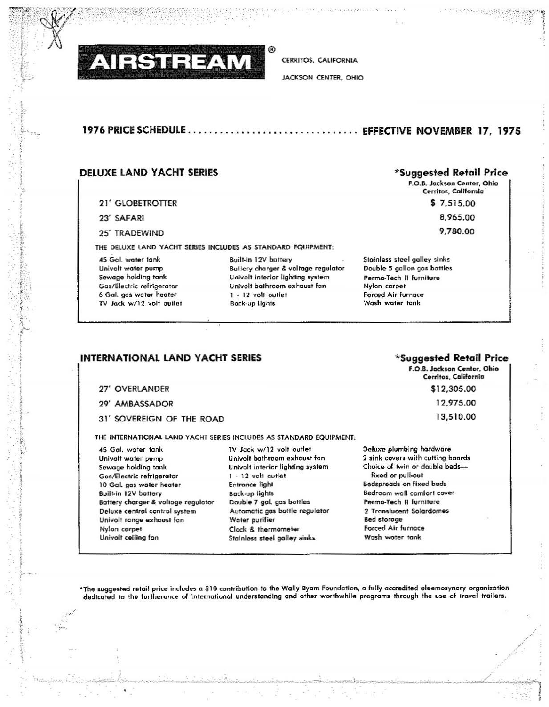

**CERRITOS, CALIFORNIA** 

JACKSON CENTER, OHIO

# 

## **DELUXE LAND YACHT SERIES**

#### 21' GLOBETROTTER

- 23' SAFARI
- 25' TRADEWIND

THE DELUXE LAND YACHT SERIES INCLUDES AS STANDARD EQUIPMENT:

45 Gol. water tank Univolt water pump Sewage holding tank Gas/Electric refrigerator 6 Gal. gos water heater TV Jack w/12 volt outlet Built-in 12V battery Battery charger & voltage regulator Univolt interior lighting system Univolt bathroom exhaust fan  $1 + 12$  volt outlet Back-up lights

## \*Suggested Retail Price

F.O.B. Jackson Center, Ohio Cerritos, California

> $$7,515.00$ 8,965.00 9,780.00

Stainless steel galley sinks Double 5 gallon gas bottles Perma-Tech II furniture Nylon carpet Forced Air furnace Wash water tank

# INTERNATIONAL LAND YACHT SERIES

### 27' OVERLANDER

- 29' AMBASSADOR
- 31' SOVEREIGN OF THE ROAD

THE INTERNATIONAL LAND YACHT SERIES INCLUDES AS STANDARD EQUIPMENT:

45 Gal. water tank Univolt water pump Sewage holding tank Gos/Electric refrigerator 10 Gal. gas water heater Built-in 12V battery Battery charger & voltage regulator Deluxe central cantrol system Univolt range exhaust fan Nylon corpet Univolt ceiling fan

TV Jack w/12 volt outlet Univolt bathroom exhaust fan Univolt interior lighting system 1 - 12 volt outlet Entrance light Back-up lights Double 7 gal. gos bottles Automatic gas bottle regulator Water purifier Clock & thermometer **Stainless steel galley sinks** 

\*Suggested Retail Price

F.O.B. Jackson Center, Ohio Cerritos, California \$12,305.00 12,975.00 13,510.00

Deluxe plumbing hardware 2 sink covers with cutting boards Choice of twin or double bedsfixed or pull-out Bedspreads on fixed beds Bedroom wall comfort cover Perma-Tech II furniture 2 Translucent Solardomes Bed storage Forced Air furnace Wash water tank

\*The suggested retail price includes a \$10 contribution to the Wally Byam Foundation, a fully accredited eleemosynary organization dedicated to the furtherance of international understanding and other worthwhile programs through the use of travel trailers.